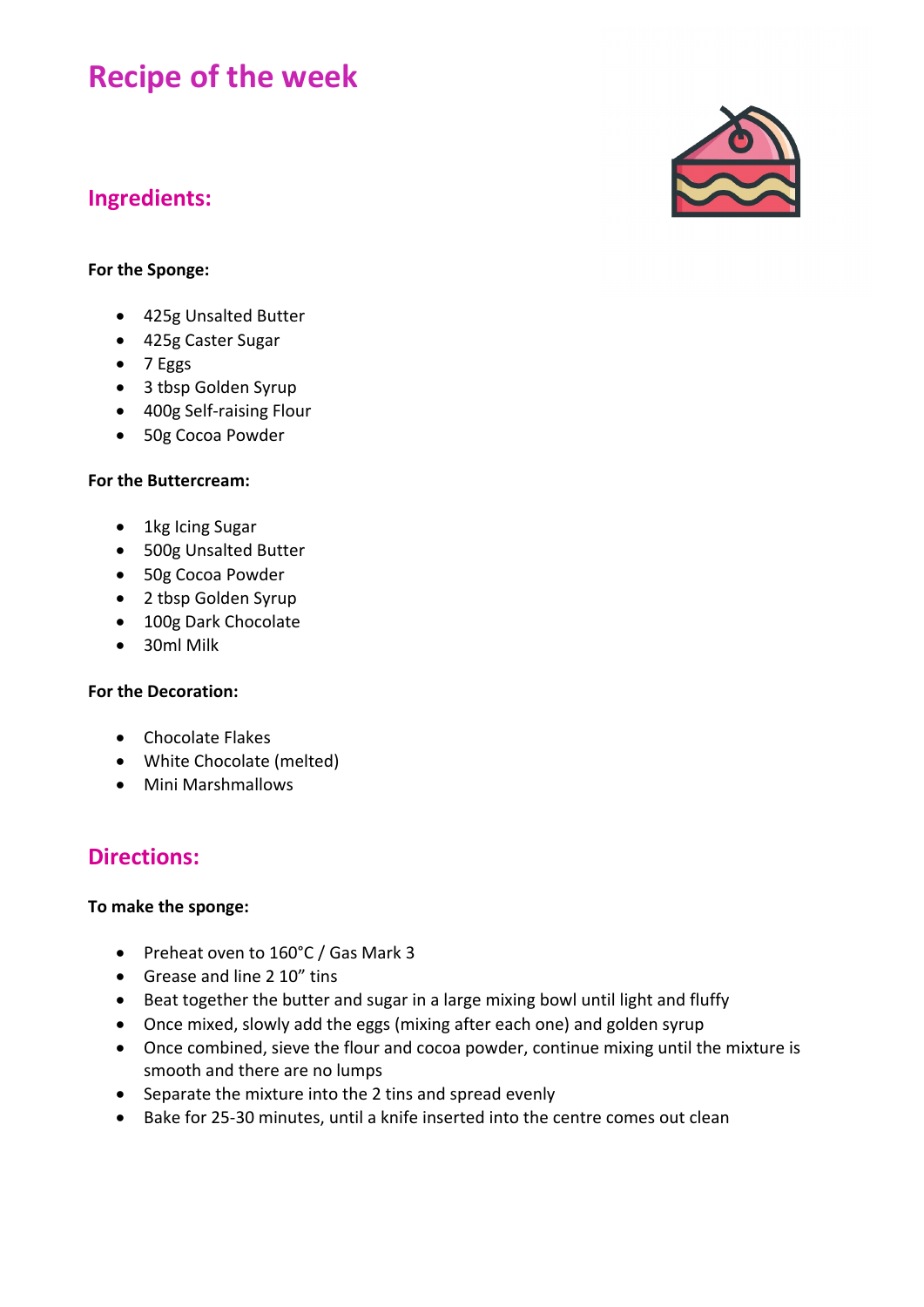# **Recipe of the week**

## **Ingredients:**

## **For the Sponge:**

- 425g Unsalted Butter
- 425g Caster Sugar
- 7 Eggs
- 3 tbsp Golden Syrup
- 400g Self-raising Flour
- 50g Cocoa Powder

### **For the Buttercream:**

- 1kg Icing Sugar
- 500g Unsalted Butter
- 50g Cocoa Powder
- 2 tbsp Golden Syrup
- 100g Dark Chocolate
- 30ml Milk

## **For the Decoration:**

- Chocolate Flakes
- White Chocolate (melted)
- Mini Marshmallows

## **Directions:**

### **To make the sponge:**

- Preheat oven to 160°C / Gas Mark 3
- Grease and line 2 10" tins
- Beat together the butter and sugar in a large mixing bowl until light and fluffy
- Once mixed, slowly add the eggs (mixing after each one) and golden syrup
- Once combined, sieve the flour and cocoa powder, continue mixing until the mixture is smooth and there are no lumps
- Separate the mixture into the 2 tins and spread evenly
- Bake for 25-30 minutes, until a knife inserted into the centre comes out clean